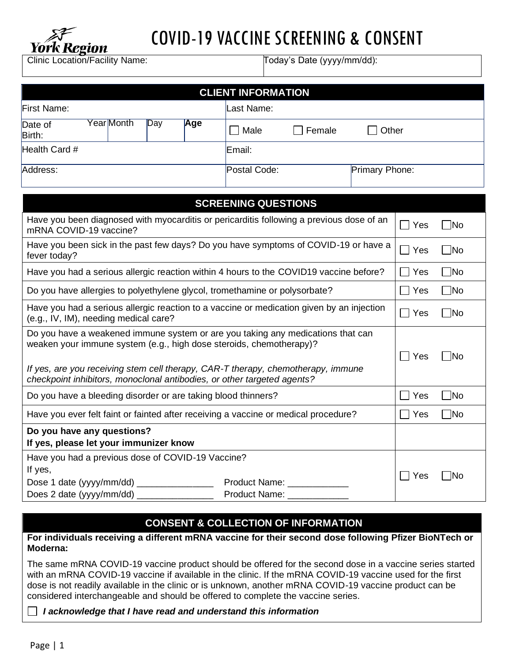

# COVID-19 VACCINE SCREENING & CONSENT

Clinic Location/Facility Name: Today's Date (yyyy/mm/dd):

| <b>CLIENT INFORMATION</b>                                                                                                                                                                                                                                                                                             |                                                     |                 |                   |  |  |
|-----------------------------------------------------------------------------------------------------------------------------------------------------------------------------------------------------------------------------------------------------------------------------------------------------------------------|-----------------------------------------------------|-----------------|-------------------|--|--|
| First Name:                                                                                                                                                                                                                                                                                                           | Last Name:                                          |                 |                   |  |  |
| Year Month<br>Day<br>Age<br>Date of<br>Birth:                                                                                                                                                                                                                                                                         | Male<br>Female                                      | Other           |                   |  |  |
| Health Card #                                                                                                                                                                                                                                                                                                         | Email:                                              |                 |                   |  |  |
| Address:                                                                                                                                                                                                                                                                                                              | Primary Phone:<br>Postal Code:                      |                 |                   |  |  |
| <b>SCREENING QUESTIONS</b>                                                                                                                                                                                                                                                                                            |                                                     |                 |                   |  |  |
| Have you been diagnosed with myocarditis or pericarditis following a previous dose of an<br>mRNA COVID-19 vaccine?                                                                                                                                                                                                    |                                                     | $\sqsupset$ Yes | $\Box$ No         |  |  |
| Have you been sick in the past few days? Do you have symptoms of COVID-19 or have a<br>fever today?                                                                                                                                                                                                                   |                                                     |                 | $\blacksquare$ No |  |  |
| Have you had a serious allergic reaction within 4 hours to the COVID19 vaccine before?                                                                                                                                                                                                                                |                                                     |                 | $\blacksquare$ No |  |  |
| Do you have allergies to polyethylene glycol, tromethamine or polysorbate?                                                                                                                                                                                                                                            |                                                     |                 | $\Box$ No         |  |  |
| Have you had a serious allergic reaction to a vaccine or medication given by an injection<br>(e.g., IV, IM), needing medical care?                                                                                                                                                                                    |                                                     |                 | $\neg$ No         |  |  |
| Do you have a weakened immune system or are you taking any medications that can<br>weaken your immune system (e.g., high dose steroids, chemotherapy)?<br>If yes, are you receiving stem cell therapy, CAR-T therapy, chemotherapy, immune<br>checkpoint inhibitors, monoclonal antibodies, or other targeted agents? |                                                     |                 | ⊺No               |  |  |
| Do you have a bleeding disorder or are taking blood thinners?                                                                                                                                                                                                                                                         |                                                     | Yes             | $\neg$ No         |  |  |
| Have you ever felt faint or fainted after receiving a vaccine or medical procedure?                                                                                                                                                                                                                                   |                                                     | Yes             | $\neg$ No         |  |  |
| Do you have any questions?<br>If yes, please let your immunizer know                                                                                                                                                                                                                                                  |                                                     |                 |                   |  |  |
| Have you had a previous dose of COVID-19 Vaccine?<br>If yes,<br>Dose 1 date (yyyy/mm/dd) ________________<br>Does 2 date (yyyy/mm/dd) ________________                                                                                                                                                                | Product Name: __________<br>Product Name: _________ | Yes             | 7No               |  |  |

# **CONSENT & COLLECTION OF INFORMATION**

**For individuals receiving a different mRNA vaccine for their second dose following Pfizer BioNTech or Moderna:**

The same mRNA COVID-19 vaccine product should be offered for the second dose in a vaccine series started with an mRNA COVID-19 vaccine if available in the clinic. If the mRNA COVID-19 vaccine used for the first dose is not readily available in the clinic or is unknown, another mRNA COVID-19 vaccine product can be considered interchangeable and should be offered to complete the vaccine series.

*I acknowledge that I have read and understand this information*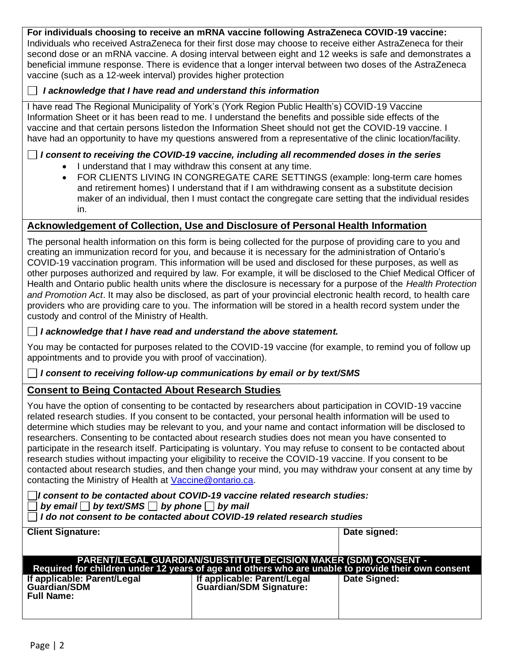#### **For individuals choosing to receive an mRNA vaccine following AstraZeneca COVID-19 vaccine:**

Individuals who received AstraZeneca for their first dose may choose to receive either AstraZeneca for their second dose or an mRNA vaccine. A dosing interval between eight and 12 weeks is safe and demonstrates a beneficial immune response. There is evidence that a longer interval between two doses of the AstraZeneca vaccine (such as a 12-week interval) provides higher protection

#### *I acknowledge that I have read and understand this information*

I have read The Regional Municipality of York's (York Region Public Health's) COVID-19 Vaccine Information Sheet or it has been read to me. I understand the benefits and possible side effects of the vaccine and that certain persons listedon the Information Sheet should not get the COVID-19 vaccine. I have had an opportunity to have my questions answered from a representative of the clinic location/facility.

## *I consent to receiving the COVID-19 vaccine, including all recommended doses in the series*

- I understand that I may withdraw this consent at any time.
- FOR CLIENTS LIVING IN CONGREGATE CARE SETTINGS (example: long-term care homes and retirement homes) I understand that if I am withdrawing consent as a substitute decision maker of an individual, then I must contact the congregate care setting that the individual resides in.

# **Acknowledgement of Collection, Use and Disclosure of Personal Health Information**

The personal health information on this form is being collected for the purpose of providing care to you and creating an immunization record for you, and because it is necessary for the administration of Ontario's COVID-19 vaccination program. This information will be used and disclosed for these purposes, as well as other purposes authorized and required by law. For example, it will be disclosed to the Chief Medical Officer of Health and Ontario public health units where the disclosure is necessary for a purpose of the *Health Protection and Promotion Act*. It may also be disclosed, as part of your provincial electronic health record, to health care providers who are providing care to you. The information will be stored in a health record system under the custody and control of the Ministry of Health.

### *I acknowledge that I have read and understand the above statement.*

You may be contacted for purposes related to the COVID-19 vaccine (for example, to remind you of follow up appointments and to provide you with proof of vaccination).

### *I consent to receiving follow-up communications by email or by text/SMS*

# **Consent to Being Contacted About Research Studies**

You have the option of consenting to be contacted by researchers about participation in COVID-19 vaccine related research studies. If you consent to be contacted, your personal health information will be used to determine which studies may be relevant to you, and your name and contact information will be disclosed to researchers. Consenting to be contacted about research studies does not mean you have consented to participate in the research itself. Participating is voluntary. You may refuse to consent to be contacted about research studies without impacting your eligibility to receive the COVID-19 vaccine. If you consent to be contacted about research studies, and then change your mind, you may withdraw your consent at any time by contacting the Ministry of Health at [Vaccine@ontario.ca.](mailto:Vaccine@ontario.ca)

*I consent to be contacted about COVID-19 vaccine related research studies: by email by text/SMS by phone by mail* 

*I do not consent to be contacted about COVID-19 related research studies*

| <b>Client Signature:</b>                                                                                                                                                     |                                                        | Date signed: |  |  |
|------------------------------------------------------------------------------------------------------------------------------------------------------------------------------|--------------------------------------------------------|--------------|--|--|
| <b>PARENT/LEGAL GUARDIAN/SUBSTITUTE DECISION MAKER (SDM) CONSENT -</b><br>Required for children under 12 years of age and others who are unable to provide their own consent |                                                        |              |  |  |
| If applicable: Parent/Legal<br><b>Guardian/SDM</b><br><b>Full Name:</b>                                                                                                      | If applicable: Parent/Legal<br>Guardian/SDM Signature: | Date Signed: |  |  |